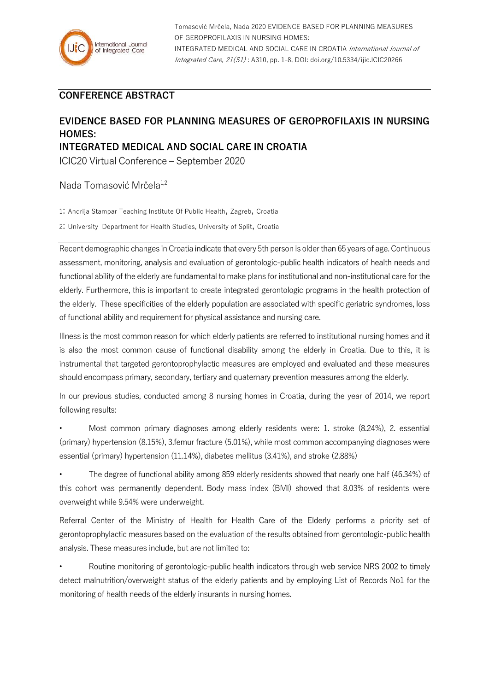

## **CONFERENCE ABSTRACT**

## **EVIDENCE BASED FOR PLANNING MEASURES OF GEROPROFILAXIS IN NURSING HOMES:**

## **INTEGRATED MEDICAL AND SOCIAL CARE IN CROATIA**

ICIC20 Virtual Conference – September 2020

Nada Tomasović Mrčela<sup>1,2</sup>

1: Andrija Stampar Teaching Institute Of Public Health, Zagreb, Croatia

2: University Department for Health Studies, University of Split, Croatia

Recent demographic changes in Croatia indicate that every 5th person is older than 65 years of age. Continuous assessment, monitoring, analysis and evaluation of gerontologic-public health indicators of health needs and functional ability of the elderly are fundamental to make plans for institutional and non-institutional care for the elderly. Furthermore, this is important to create integrated gerontologic programs in the health protection of the elderly. These specificities of the elderly population are associated with specific geriatric syndromes, loss of functional ability and requirement for physical assistance and nursing care.

Illness is the most common reason for which elderly patients are referred to institutional nursing homes and it is also the most common cause of functional disability among the elderly in Croatia. Due to this, it is instrumental that targeted gerontoprophylactic measures are employed and evaluated and these measures should encompass primary, secondary, tertiary and quaternary prevention measures among the elderly.

In our previous studies, conducted among 8 nursing homes in Croatia, during the year of 2014, we report following results:

• Most common primary diagnoses among elderly residents were: 1. stroke (8.24%), 2. essential (primary) hypertension (8.15%), 3.femur fracture (5.01%), while most common accompanying diagnoses were essential (primary) hypertension (11.14%), diabetes mellitus (3.41%), and stroke (2.88%)

• The degree of functional ability among 859 elderly residents showed that nearly one half (46.34%) of this cohort was permanently dependent. Body mass index (BMI) showed that 8.03% of residents were overweight while 9.54% were underweight.

Referral Center of the Ministry of Health for Health Care of the Elderly performs a priority set of gerontoprophylactic measures based on the evaluation of the results obtained from gerontologic-public health analysis. These measures include, but are not limited to:

• Routine monitoring of gerontologic-public health indicators through web service NRS 2002 to timely detect malnutrition/overweight status of the elderly patients and by employing List of Records No1 for the monitoring of health needs of the elderly insurants in nursing homes.